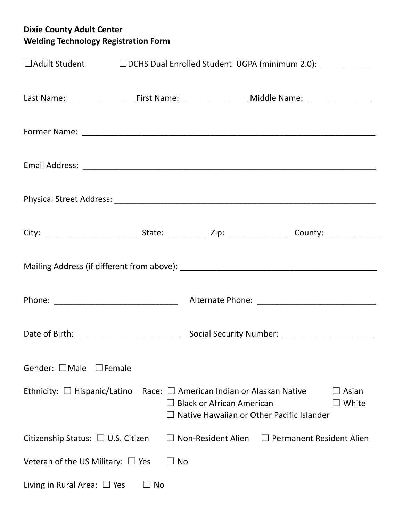## **Dixie County Adult Center Welding Technology Registration Form**

| □Adult Student □ □DCHS Dual Enrolled Student UGPA (minimum 2.0): __________                                    |    |           |                                  |                                                                                             |                |
|----------------------------------------------------------------------------------------------------------------|----|-----------|----------------------------------|---------------------------------------------------------------------------------------------|----------------|
| Last Name: __________________________First Name: ________________________________ Middle Name: _______________ |    |           |                                  |                                                                                             |                |
|                                                                                                                |    |           |                                  |                                                                                             |                |
|                                                                                                                |    |           |                                  |                                                                                             |                |
|                                                                                                                |    |           |                                  |                                                                                             |                |
|                                                                                                                |    |           |                                  |                                                                                             |                |
|                                                                                                                |    |           |                                  |                                                                                             |                |
|                                                                                                                |    |           |                                  |                                                                                             |                |
|                                                                                                                |    |           |                                  | Social Security Number: _________________________                                           |                |
| Gender: $\Box$ Male $\Box$ Female                                                                              |    |           |                                  |                                                                                             |                |
| Ethnicity: $\Box$ Hispanic/Latino                                                                              |    |           | <b>Black or African American</b> | Race: $\Box$ American Indian or Alaskan Native<br>Native Hawaiian or Other Pacific Islander | Asian<br>White |
| Citizenship Status: $\Box$ U.S. Citizen                                                                        |    |           | $\Box$ Non-Resident Alien        | $\Box$ Permanent Resident Alien                                                             |                |
| Veteran of the US Military: $\Box$ Yes                                                                         |    | $\Box$ No |                                  |                                                                                             |                |
| Living in Rural Area: $\Box$ Yes                                                                               | No |           |                                  |                                                                                             |                |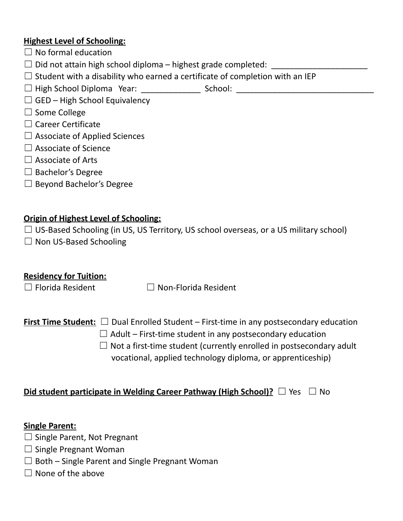### **Highest Level of Schooling:**

- $\Box$  No formal education
- $\Box$  Did not attain high school diploma highest grade completed:
- $\Box$  Student with a disability who earned a certificate of completion with an IEP
- ☐ High School Diploma Year: \_\_\_\_\_\_\_\_\_\_\_\_\_ School: \_\_\_\_\_\_\_\_\_\_\_\_\_\_\_\_\_\_\_\_\_\_\_\_\_\_\_\_\_\_
- $\Box$  GED High School Equivalency
- ☐ Some College
- ☐ Career Certificate
- $\Box$  Associate of Applied Sciences
- $\Box$  Associate of Science
- $\Box$  Associate of Arts
- $\Box$  Bachelor's Degree
- ☐ Beyond Bachelor's Degree

### **Origin of Highest Level of Schooling:**

- $\Box$  US-Based Schooling (in US, US Territory, US school overseas, or a US military school)
- $\Box$  Non US-Based Schooling

### **Residency for Tuition:**

☐ Florida Resident ☐ Non-Florida Resident

## **First Time Student:** ☐ Dual Enrolled Student – First-time in any postsecondary education

- $\Box$  Adult First-time student in any postsecondary education
- $\Box$  Not a first-time student (currently enrolled in postsecondary adult vocational, applied technology diploma, or apprenticeship)

### **Did student participate in Welding Career Pathway (High School)?** ☐ Yes ☐ No

#### **Single Parent:**

- $\Box$  Single Parent, Not Pregnant
- $\Box$  Single Pregnant Woman
- $\Box$  Both Single Parent and Single Pregnant Woman
- $\Box$  None of the above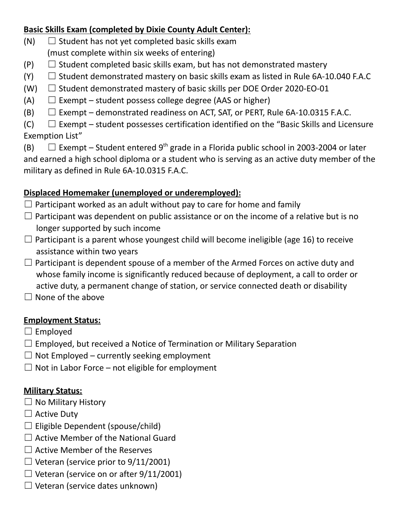### **Basic Skills Exam (completed by Dixie County Adult Center):**

- $(N)$   $\Box$  Student has not yet completed basic skills exam (must complete within six weeks of entering)
- $(P)$   $\Box$  Student completed basic skills exam, but has not demonstrated mastery
- $(Y)$   $\Box$  Student demonstrated mastery on basic skills exam as listed in Rule 6A-10.040 F.A.C
- (W)  $\Box$  Student demonstrated mastery of basic skills per DOE Order 2020-EO-01
- (A)  $\Box$  Exempt student possess college degree (AAS or higher)
- $(B)$   $\Box$  Exempt demonstrated readiness on ACT, SAT, or PERT, Rule 6A-10.0315 F.A.C.

 $(C)$   $\Box$  Exempt – student possesses certification identified on the "Basic Skills and Licensure Exemption List"

(B)  $\Box$  Exempt – Student entered 9<sup>th</sup> grade in a Florida public school in 2003-2004 or later and earned a high school diploma or a student who is serving as an active duty member of the military as defined in Rule 6A-10.0315 F.A.C.

## **Displaced Homemaker (unemployed or underemployed):**

- $\Box$  Participant worked as an adult without pay to care for home and family
- $\Box$  Participant was dependent on public assistance or on the income of a relative but is no longer supported by such income
- $\Box$  Participant is a parent whose youngest child will become ineligible (age 16) to receive assistance within two years
- $\Box$  Participant is dependent spouse of a member of the Armed Forces on active duty and whose family income is significantly reduced because of deployment, a call to order or active duty, a permanent change of station, or service connected death or disability

 $\Box$  None of the above

### **Employment Status:**

- $\Box$  Employed
- $\Box$  Employed, but received a Notice of Termination or Military Separation
- $\Box$  Not Employed currently seeking employment
- $\Box$  Not in Labor Force not eligible for employment

## **Military Status:**

- $\Box$  No Military History
- $\Box$  Active Duty
- $\Box$  Eligible Dependent (spouse/child)
- $\Box$  Active Member of the National Guard
- $\Box$  Active Member of the Reserves
- $\Box$  Veteran (service prior to 9/11/2001)
- $\Box$  Veteran (service on or after 9/11/2001)
- $\Box$  Veteran (service dates unknown)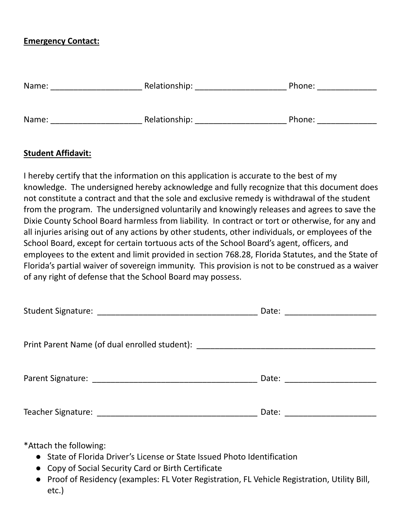#### **Emergency Contact:**

| Name: | Relationship: | Phone: |  |
|-------|---------------|--------|--|
|       |               |        |  |
| Name: | Relationship: | Phone: |  |

#### **Student Affidavit:**

I hereby certify that the information on this application is accurate to the best of my knowledge. The undersigned hereby acknowledge and fully recognize that this document does not constitute a contract and that the sole and exclusive remedy is withdrawal of the student from the program. The undersigned voluntarily and knowingly releases and agrees to save the Dixie County School Board harmless from liability. In contract or tort or otherwise, for any and all injuries arising out of any actions by other students, other individuals, or employees of the School Board, except for certain tortuous acts of the School Board's agent, officers, and employees to the extent and limit provided in section 768.28, Florida Statutes, and the State of Florida's partial waiver of sovereign immunity. This provision is not to be construed as a waiver of any right of defense that the School Board may possess.

|                                                                                  | Date: _____________________ |  |
|----------------------------------------------------------------------------------|-----------------------------|--|
| Print Parent Name (of dual enrolled student): __________________________________ |                             |  |
|                                                                                  | Date: ____________________  |  |
|                                                                                  | Date:                       |  |

\*Attach the following:

- State of Florida Driver's License or State Issued Photo Identification
- Copy of Social Security Card or Birth Certificate
- Proof of Residency (examples: FL Voter Registration, FL Vehicle Registration, Utility Bill, etc.)